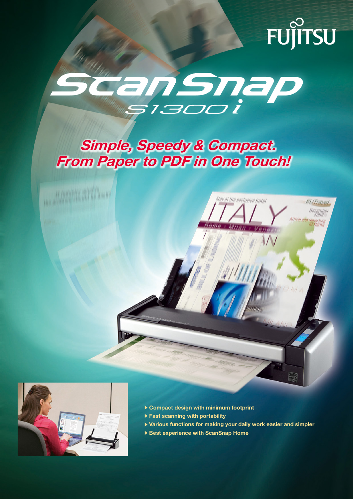# FUJITSU



## Simple, Speedy & Compact. From Paper to PDF in One Touch!





- $\triangleright$  Compact design with minimum footprint
- $\blacktriangleright$  Fast scanning with portability
- $\blacktriangleright$  Various functions for making your daily work easier and simpler
- Best experience with ScanSnap Home